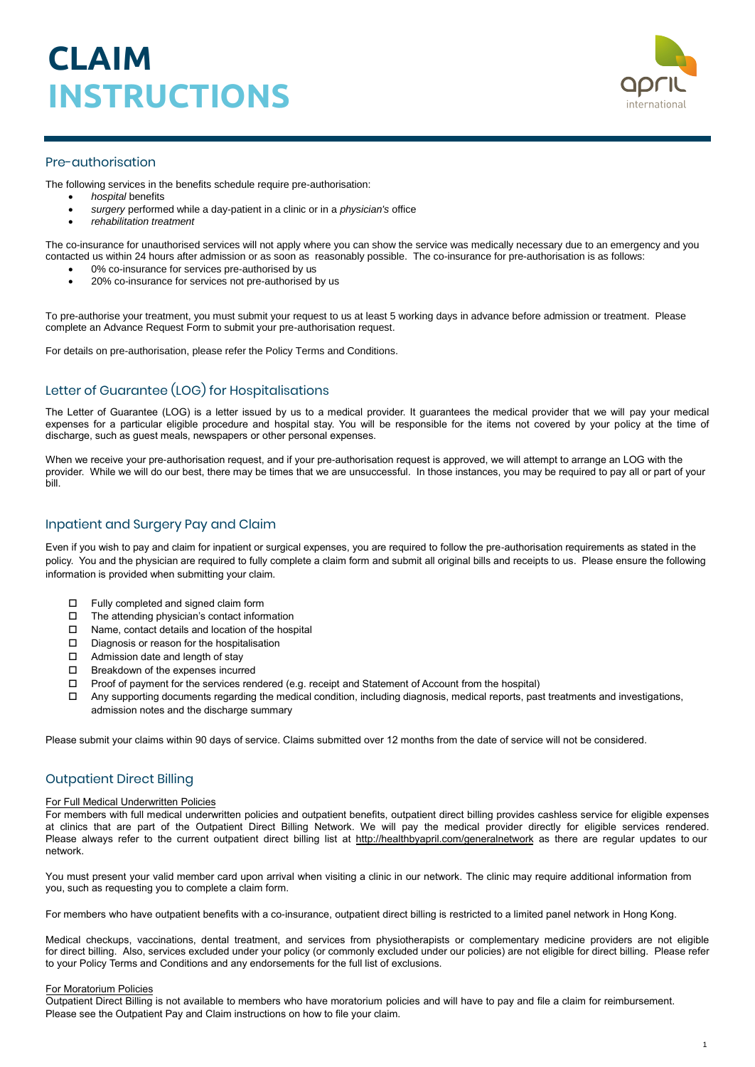

# Pre-authorisation

The following services in the benefits schedule require pre-authorisation:

- *hospital* benefits
- *surgery* performed while a day-patient in a clinic or in a *physician's* office
- *rehabilitation treatment*

The co-insurance for unauthorised services will not apply where you can show the service was medically necessary due to an emergency and you contacted us within 24 hours after admission or as soon as reasonably possible. The co-insurance for pre-authorisation is as follows:

- 0% co-insurance for services pre-authorised by us
- 20% co-insurance for services not pre-authorised by us

To pre-authorise your treatment, you must submit your request to us at least 5 working days in advance before admission or treatment. Please complete an Advance Request Form to submit your pre-authorisation request.

For details on pre-authorisation, please refer the Policy Terms and Conditions.

# Letter of Guarantee (LOG) for Hospitalisations

The Letter of Guarantee (LOG) is a letter issued by us to a medical provider. It guarantees the medical provider that we will pay your medical expenses for a particular eligible procedure and hospital stay. You will be responsible for the items not covered by your policy at the time of discharge, such as guest meals, newspapers or other personal expenses.

When we receive your pre-authorisation request, and if your pre-authorisation request is approved, we will attempt to arrange an LOG with the provider. While we will do our best, there may be times that we are unsuccessful. In those instances, you may be required to pay all or part of your bill.

# Inpatient and Surgery Pay and Claim

Even if you wish to pay and claim for inpatient or surgical expenses, you are required to follow the pre-authorisation requirements as stated in the policy. You and the physician are required to fully complete a claim form and submit all original bills and receipts to us. Please ensure the following information is provided when submitting your claim.

- □ Fully completed and signed claim form
- The attending physician's contact information
- □ Name, contact details and location of the hospital
- D Diagnosis or reason for the hospitalisation
- □ Admission date and length of stay
- $\Box$  Breakdown of the expenses incurred
- $\Box$  Proof of payment for the services rendered (e.g. receipt and Statement of Account from the hospital)
- $\Box$  Any supporting documents regarding the medical condition, including diagnosis, medical reports, past treatments and investigations, admission notes and the discharge summary

Please submit your claims within 90 days of service. Claims submitted over 12 months from the date of service will not be considered.

## Outpatient Direct Billing

### For Full Medical Underwritten Policies

For members with full medical underwritten policies and outpatient benefits, outpatient direct billing provides cashless service for eligible expenses at clinics that are part of the Outpatient Direct Billing Network. We will pay the medical provider directly for eligible services rendered. Please always refer to the current outpatient direct billing list at <http://healthbyapril.com/generalnetwork> as there are regular updates to our network.

You must present your valid member card upon arrival when visiting a clinic in our network. The clinic may require additional information from you, such as requesting you to complete a claim form.

For members who have outpatient benefits with a co-insurance, outpatient direct billing is restricted to a limited panel network in Hong Kong.

Medical checkups, vaccinations, dental treatment, and services from physiotherapists or complementary medicine providers are not eligible for direct billing. Also, services excluded under your policy (or commonly excluded under our policies) are not eligible for direct billing. Please refer to your Policy Terms and Conditions and any endorsements for the full list of exclusions.

### For Moratorium Policies

Outpatient Direct Billing is not available to members who have moratorium policies and will have to pay and file a claim for reimbursement. Please see the Outpatient Pay and Claim instructions on how to file your claim.